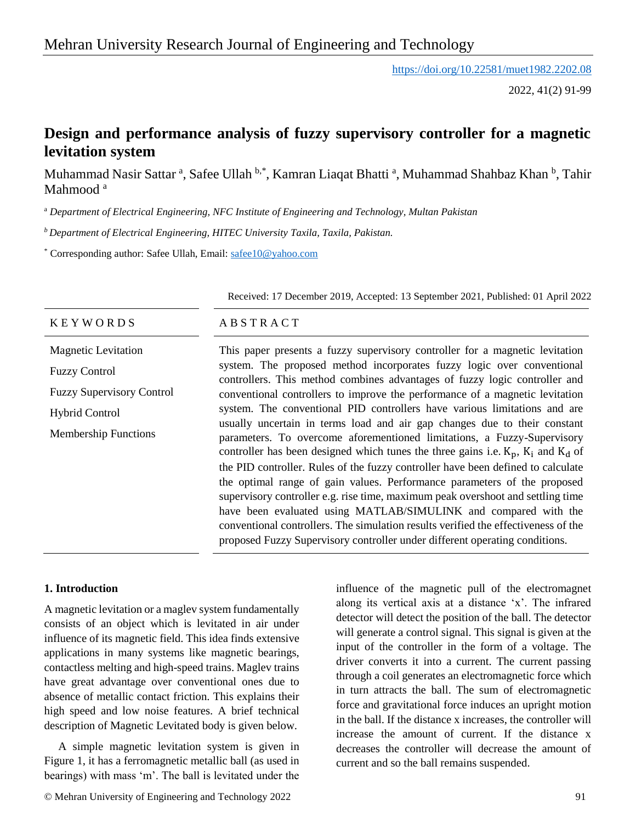<https://doi.org/10.22581/muet1982.2202.08>

2022, 41(2) 91-99

# **Design and performance analysis of fuzzy supervisory controller for a magnetic levitation system**

Muhammad Nasir Sattar<sup>a</sup>, Safee Ullah b<sup>\*</sup>, Kamran Liaqat Bhatti<sup>a</sup>, Muhammad Shahbaz Khan <sup>b</sup>, Tahir Mahmood<sup>a</sup>

<sup>a</sup> *Department of Electrical Engineering, NFC Institute of Engineering and Technology, Multan Pakistan*

*<sup>b</sup>Department of Electrical Engineering, HITEC University Taxila, Taxila, Pakistan.*

\* Corresponding author: Safee Ullah, Email: [safee10@yahoo.com](mailto:safee10@yahoo.com)

|                                  | Received: 17 December 2019, Accepted: 13 September 2021, Published: 01 April 2022<br>ABSTRACT                                                                       |  |  |  |
|----------------------------------|---------------------------------------------------------------------------------------------------------------------------------------------------------------------|--|--|--|
| <b>KEYWORDS</b>                  |                                                                                                                                                                     |  |  |  |
| <b>Magnetic Levitation</b>       | This paper presents a fuzzy supervisory controller for a magnetic levitation                                                                                        |  |  |  |
| <b>Fuzzy Control</b>             | system. The proposed method incorporates fuzzy logic over conventional<br>controllers. This method combines advantages of fuzzy logic controller and                |  |  |  |
| <b>Fuzzy Supervisory Control</b> | conventional controllers to improve the performance of a magnetic levitation                                                                                        |  |  |  |
| <b>Hybrid Control</b>            | system. The conventional PID controllers have various limitations and are<br>usually uncertain in terms load and air gap changes due to their constant              |  |  |  |
| <b>Membership Functions</b>      | parameters. To overcome aforementioned limitations, a Fuzzy-Supervisory<br>controller has been designed which tunes the three gains i.e. $K_p$ , $K_i$ and $K_d$ of |  |  |  |
|                                  | the PID controller. Rules of the fuzzy controller have been defined to calculate                                                                                    |  |  |  |
|                                  | the optimal range of gain values. Performance parameters of the proposed<br>supervisory controller e.g. rise time, maximum peak overshoot and settling time         |  |  |  |
|                                  | have been evaluated using MATLAB/SIMULINK and compared with the                                                                                                     |  |  |  |
|                                  | conventional controllers. The simulation results verified the effectiveness of the                                                                                  |  |  |  |
|                                  | proposed Fuzzy Supervisory controller under different operating conditions.                                                                                         |  |  |  |

# **1. Introduction**

A magnetic levitation or a maglev system fundamentally consists of an object which is levitated in air under influence of its magnetic field. This idea finds extensive applications in many systems like magnetic bearings, contactless melting and high-speed trains. Maglev trains have great advantage over conventional ones due to absence of metallic contact friction. This explains their high speed and low noise features. A brief technical description of Magnetic Levitated body is given below.

A simple magnetic levitation system is given in Figure 1, it has a ferromagnetic metallic ball (as used in bearings) with mass 'm'. The ball is levitated under the

influence of the magnetic pull of the electromagnet along its vertical axis at a distance 'x'. The infrared detector will detect the position of the ball. The detector will generate a control signal. This signal is given at the input of the controller in the form of a voltage. The driver converts it into a current. The current passing through a coil generates an electromagnetic force which in turn attracts the ball. The sum of electromagnetic force and gravitational force induces an upright motion in the ball. If the distance x increases, the controller will increase the amount of current. If the distance x decreases the controller will decrease the amount of current and so the ball remains suspended.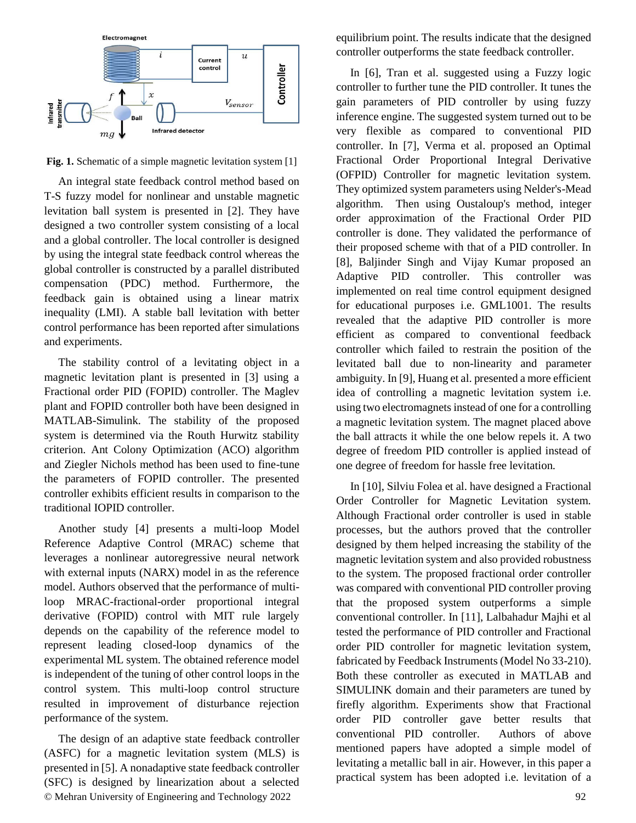

**Fig. 1.** Schematic of a simple magnetic levitation system [1]

An integral state feedback control method based on T-S fuzzy model for nonlinear and unstable magnetic levitation ball system is presented in [2]. They have designed a two controller system consisting of a local and a global controller. The local controller is designed by using the integral state feedback control whereas the global controller is constructed by a parallel distributed compensation (PDC) method. Furthermore, the feedback gain is obtained using a linear matrix inequality (LMI). A stable ball levitation with better control performance has been reported after simulations and experiments.

The stability control of a levitating object in a magnetic levitation plant is presented in [3] using a Fractional order PID (FOPID) controller. The Maglev plant and FOPID controller both have been designed in MATLAB-Simulink. The stability of the proposed system is determined via the Routh Hurwitz stability criterion. Ant Colony Optimization (ACO) algorithm and Ziegler Nichols method has been used to fine-tune the parameters of FOPID controller. The presented controller exhibits efficient results in comparison to the traditional IOPID controller.

Another study [4] presents a multi-loop Model Reference Adaptive Control (MRAC) scheme that leverages a nonlinear autoregressive neural network with external inputs (NARX) model in as the reference model. Authors observed that the performance of multiloop MRAC-fractional-order proportional integral derivative (FOPID) control with MIT rule largely depends on the capability of the reference model to represent leading closed-loop dynamics of the experimental ML system. The obtained reference model is independent of the tuning of other control loops in the control system. This multi-loop control structure resulted in improvement of disturbance rejection performance of the system.

© Mehran University of Engineering and Technology 2022 92 The design of an adaptive state feedback controller (ASFC) for a magnetic levitation system (MLS) is presented in [5]. A nonadaptive state feedback controller (SFC) is designed by linearization about a selected

equilibrium point. The results indicate that the designed controller outperforms the state feedback controller.

In [6], Tran et al. suggested using a Fuzzy logic controller to further tune the PID controller. It tunes the gain parameters of PID controller by using fuzzy inference engine. The suggested system turned out to be very flexible as compared to conventional PID controller. In [7], Verma et al. proposed an Optimal Fractional Order Proportional Integral Derivative (OFPID) Controller for magnetic levitation system. They optimized system parameters using Nelder's-Mead algorithm. Then using Oustaloup's method, integer order approximation of the Fractional Order PID controller is done. They validated the performance of their proposed scheme with that of a PID controller. In [8], Baljinder Singh and Vijay Kumar proposed an Adaptive PID controller. This controller was implemented on real time control equipment designed for educational purposes i.e. GML1001. The results revealed that the adaptive PID controller is more efficient as compared to conventional feedback controller which failed to restrain the position of the levitated ball due to non-linearity and parameter ambiguity. In [9], Huang et al. presented a more efficient idea of controlling a magnetic levitation system i.e. using two electromagnets instead of one for a controlling a magnetic levitation system. The magnet placed above the ball attracts it while the one below repels it. A two degree of freedom PID controller is applied instead of one degree of freedom for hassle free levitation.

In [10], Silviu Folea et al. have designed a Fractional Order Controller for Magnetic Levitation system. Although Fractional order controller is used in stable processes, but the authors proved that the controller designed by them helped increasing the stability of the magnetic levitation system and also provided robustness to the system. The proposed fractional order controller was compared with conventional PID controller proving that the proposed system outperforms a simple conventional controller. In [11], Lalbahadur Majhi et al tested the performance of PID controller and Fractional order PID controller for magnetic levitation system, fabricated by Feedback Instruments (Model No 33-210). Both these controller as executed in MATLAB and SIMULINK domain and their parameters are tuned by firefly algorithm. Experiments show that Fractional order PID controller gave better results that conventional PID controller. Authors of above mentioned papers have adopted a simple model of levitating a metallic ball in air. However, in this paper a practical system has been adopted i.e. levitation of a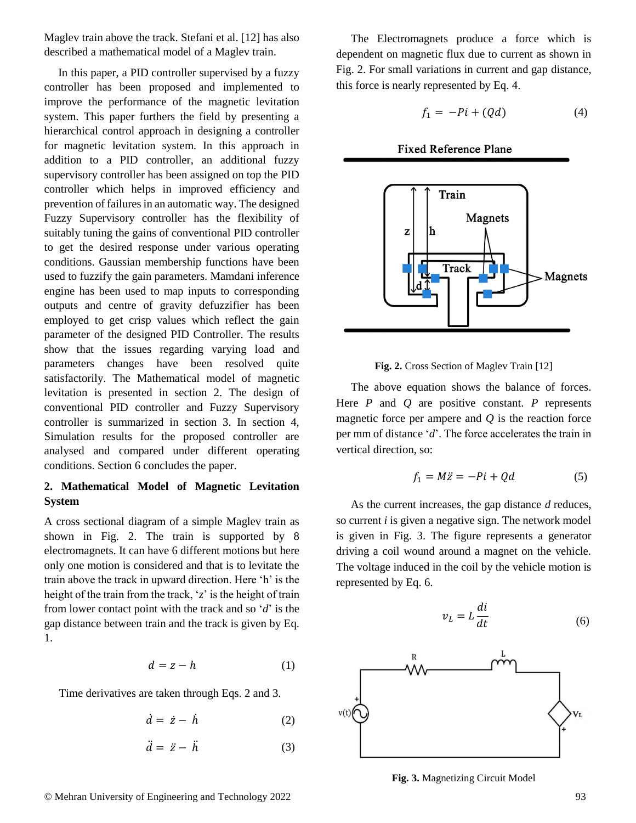Maglev train above the track. Stefani et al. [12] has also described a mathematical model of a Maglev train.

In this paper, a PID controller supervised by a fuzzy controller has been proposed and implemented to improve the performance of the magnetic levitation system. This paper furthers the field by presenting a hierarchical control approach in designing a controller for magnetic levitation system. In this approach in addition to a PID controller, an additional fuzzy supervisory controller has been assigned on top the PID controller which helps in improved efficiency and prevention of failures in an automatic way. The designed Fuzzy Supervisory controller has the flexibility of suitably tuning the gains of conventional PID controller to get the desired response under various operating conditions. Gaussian membership functions have been used to fuzzify the gain parameters. Mamdani inference engine has been used to map inputs to corresponding outputs and centre of gravity defuzzifier has been employed to get crisp values which reflect the gain parameter of the designed PID Controller. The results show that the issues regarding varying load and parameters changes have been resolved quite satisfactorily. The Mathematical model of magnetic levitation is presented in section 2. The design of conventional PID controller and Fuzzy Supervisory controller is summarized in section 3. In section 4, Simulation results for the proposed controller are analysed and compared under different operating conditions. Section 6 concludes the paper.

# **2. Mathematical Model of Magnetic Levitation System**

A cross sectional diagram of a simple Maglev train as shown in Fig. 2. The train is supported by 8 electromagnets. It can have 6 different motions but here only one motion is considered and that is to levitate the train above the track in upward direction. Here 'h' is the height of the train from the track, '*z*' is the height of train from lower contact point with the track and so '*d*' is the gap distance between train and the track is given by Eq. 1.

$$
d = z - h \tag{1}
$$

Time derivatives are taken through Eqs. 2 and 3.

$$
\dot{d} = \dot{z} - \dot{h} \tag{2}
$$

$$
\ddot{d} = \ddot{z} - \ddot{h} \tag{3}
$$

The Electromagnets produce a force which is dependent on magnetic flux due to current as shown in Fig. 2. For small variations in current and gap distance, this force is nearly represented by Eq. 4.

$$
f_1 = -Pi + (Qd) \tag{4}
$$



### **Fixed Reference Plane**



The above equation shows the balance of forces. Here *P* and *Q* are positive constant. *P* represents magnetic force per ampere and *Q* is the reaction force per mm of distance '*d*'. The force accelerates the train in vertical direction, so:

$$
f_1 = M\ddot{z} = -Pi + Qd \tag{5}
$$

As the current increases, the gap distance *d* reduces, so current *i* is given a negative sign. The network model is given in Fig. 3. The figure represents a generator driving a coil wound around a magnet on the vehicle. The voltage induced in the coil by the vehicle motion is represented by Eq. 6.



**Fig. 3.** Magnetizing Circuit Model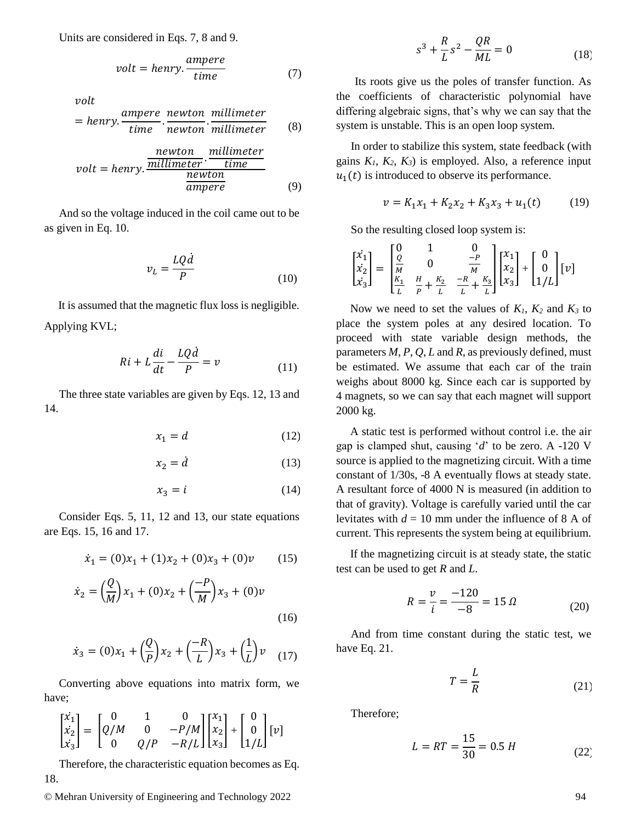Units are considered in Eqs. 7, 8 and 9.

$$
volt = henry. \frac{ampere}{time} \tag{7}
$$

volt

$$
= henry.\frac{ampere}{time}.\frac{newton}{newton}.\frac{millimeter}{millimeter} \qquad (8)
$$

$$
volt = henry.\frac{newton}{millimeter \cdot time}{\frac{time}{ampere}}
$$
\n(9)

And so the voltage induced in the coil came out to be as given in Eq. 10.

$$
v_L = \frac{LQ\dot{d}}{P} \tag{10}
$$

It is assumed that the magnetic flux loss is negligible. Applying KVL;

$$
Ri + L\frac{di}{dt} - \frac{LQ\dot{d}}{P} = v \tag{11}
$$

The three state variables are given by Eqs. 12, 13 and 14.

$$
x_1 = d \tag{12}
$$

$$
x_2 = \dot{d} \tag{13}
$$

$$
x_3 = i \tag{14}
$$

Consider Eqs. 5, 11, 12 and 13, our state equations are Eqs. 15, 16 and 17.

$$
\dot{x}_1 = (0)x_1 + (1)x_2 + (0)x_3 + (0)v \qquad (15)
$$

$$
\dot{x}_2 = \left(\frac{Q}{M}\right)x_1 + (0)x_2 + \left(\frac{-P}{M}\right)x_3 + (0)v\tag{16}
$$

$$
\dot{x}_3 = (0)x_1 + \left(\frac{Q}{P}\right)x_2 + \left(\frac{-R}{L}\right)x_3 + \left(\frac{1}{L}\right)v \quad (17)
$$

Converting above equations into matrix form, we have;

$$
\begin{bmatrix} \dot{x_1} \\ \dot{x_2} \\ \dot{x_3} \end{bmatrix} = \begin{bmatrix} 0 & 1 & 0 \\ Q/M & 0 & -P/M \\ 0 & Q/P & -R/L \end{bmatrix} \begin{bmatrix} x_1 \\ x_2 \\ x_3 \end{bmatrix} + \begin{bmatrix} 0 \\ 0 \\ 1/L \end{bmatrix} [v]
$$

Therefore, the characteristic equation becomes as Eq. 18.

© Mehran University of Engineering and Technology 2022 94

$$
s^3 + \frac{R}{L}s^2 - \frac{QR}{ML} = 0
$$
 (18)

Its roots give us the poles of transfer function. As the coefficients of characteristic polynomial have differing algebraic signs, that's why we can say that the system is unstable. This is an open loop system.

In order to stabilize this system, state feedback (with gains  $K_1$ ,  $K_2$ ,  $K_3$ ) is employed. Also, a reference input  $u_1(t)$  is introduced to observe its performance.

$$
v = K_1 x_1 + K_2 x_2 + K_3 x_3 + u_1(t) \tag{19}
$$

So the resulting closed loop system is:

$$
\begin{bmatrix} \dot{x_1} \\ \dot{x_2} \\ \dot{x_3} \end{bmatrix} = \begin{bmatrix} 0 & 1 & 0 \\ \frac{Q}{M} & 0 & \frac{-P}{M} \\ \frac{K_1}{L} & \frac{H}{P} + \frac{K_2}{L} & \frac{-R}{L} + \frac{K_3}{L} \end{bmatrix} \begin{bmatrix} x_1 \\ x_2 \\ x_3 \end{bmatrix} + \begin{bmatrix} 0 \\ 0 \\ 1/L \end{bmatrix} [v]
$$

Now we need to set the values of  $K_1$ ,  $K_2$  and  $K_3$  to place the system poles at any desired location. To proceed with state variable design methods, the parameters *M*, *P*, *Q*, *L* and *R*, as previously defined, must be estimated. We assume that each car of the train weighs about 8000 kg. Since each car is supported by 4 magnets, so we can say that each magnet will support 2000 kg.

A static test is performed without control i.e. the air gap is clamped shut, causing '*d*' to be zero. A -120 V source is applied to the magnetizing circuit. With a time constant of 1/30s, -8 A eventually flows at steady state. A resultant force of 4000 N is measured (in addition to that of gravity). Voltage is carefully varied until the car levitates with *d* = 10 mm under the influence of 8 A of current. This represents the system being at equilibrium.

If the magnetizing circuit is at steady state, the static test can be used to get *R* and *L*.

$$
R = \frac{v}{i} = \frac{-120}{-8} = 15 \,\Omega \tag{20}
$$

And from time constant during the static test, we have Eq. 21.

$$
T = \frac{L}{R} \tag{21}
$$

Therefore;

$$
L = RT = \frac{15}{30} = 0.5 H
$$
 (22)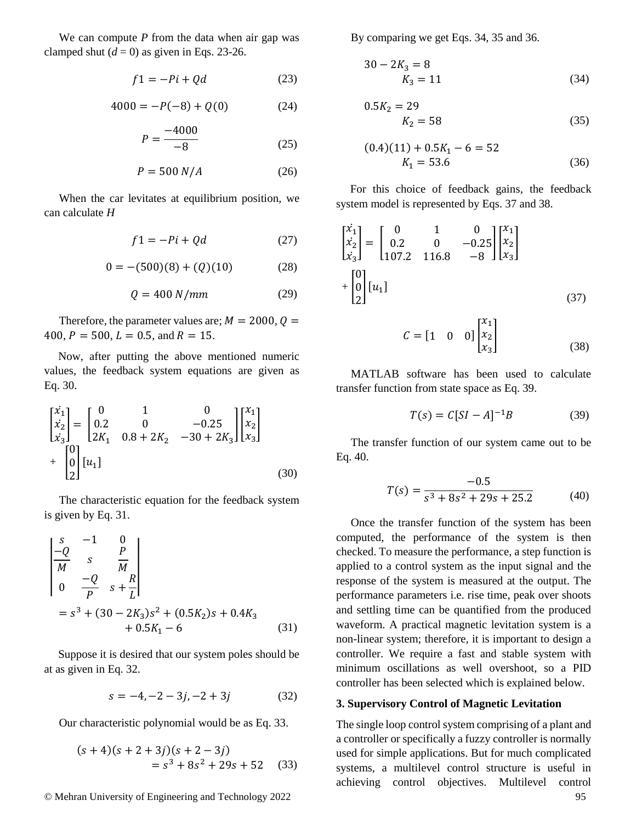We can compute *P* from the data when air gap was clamped shut  $(d = 0)$  as given in Eqs. 23-26.

$$
f1 = -Pi + Qd \tag{23}
$$

$$
4000 = -P(-8) + Q(0)
$$
 (24)

$$
P = \frac{-4000}{-8} \tag{25}
$$

$$
P = 500 N/A \tag{26}
$$

When the car levitates at equilibrium position, we can calculate *H*

$$
f1 = -Pi + Qd \tag{27}
$$

$$
0 = -(500)(8) + (Q)(10)
$$
 (28)

$$
Q = 400 \, N/mm \tag{29}
$$

Therefore, the parameter values are;  $M = 2000$ ,  $Q =$ 400,  $P = 500$ ,  $L = 0.5$ , and  $R = 15$ .

Now, after putting the above mentioned numeric values, the feedback system equations are given as Eq. 30.

$$
\begin{bmatrix} \dot{x}_1 \\ \dot{x}_2 \\ \dot{x}_3 \end{bmatrix} = \begin{bmatrix} 0 & 1 & 0 \\ 0.2 & 0 & -0.25 \\ 2K_1 & 0.8 + 2K_2 & -30 + 2K_3 \end{bmatrix} \begin{bmatrix} x_1 \\ x_2 \\ x_3 \end{bmatrix} + \begin{bmatrix} 0 \\ 0 \\ 2 \end{bmatrix} [u_1]
$$
\n(30)

The characteristic equation for the feedback system is given by Eq. 31.

$$
\begin{vmatrix} s & -1 & 0 \ -Q & s & \overline{M} \\ 0 & -Q & s + \overline{L} \end{vmatrix}
$$
  
=  $s^3 + (30 - 2K_3)s^2 + (0.5K_2)s + 0.4K_3 + 0.5K_1 - 6$  (31)

Suppose it is desired that our system poles should be at as given in Eq. 32.

$$
s = -4, -2 - 3j, -2 + 3j \tag{32}
$$

Our characteristic polynomial would be as Eq. 33.

$$
(s+4)(s+2+3j)(s+2-3j)
$$
  
=  $s^3 + 8s^2 + 29s + 52$  (33)

© Mehran University of Engineering and Technology 2022 95

By comparing we get Eqs. 34, 35 and 36.

$$
30 - 2K_3 = 8
$$
  

$$
K_3 = 11
$$
 (34)

$$
0.5K_2 = 29
$$
  

$$
K_2 = 58
$$
 (35)

$$
(0.4)(11) + 0.5K_1 - 6 = 52
$$
  

$$
K_1 = 53.6
$$
 (36)

For this choice of feedback gains, the feedback system model is represented by Eqs. 37 and 38.

$$
\begin{bmatrix} \dot{x}_1 \\ \dot{x}_2 \\ \dot{x}_3 \end{bmatrix} = \begin{bmatrix} 0 & 1 & 0 \\ 0.2 & 0 & -0.25 \\ 107.2 & 116.8 & -8 \end{bmatrix} \begin{bmatrix} x_1 \\ x_2 \\ x_3 \end{bmatrix}
$$

$$
+ \begin{bmatrix} 0 \\ 0 \\ 2 \end{bmatrix} [u_1]
$$
(37)

$$
C = \begin{bmatrix} 1 & 0 & 0 \end{bmatrix} \begin{bmatrix} x_1 \\ x_2 \\ x_3 \end{bmatrix} \tag{38}
$$

MATLAB software has been used to calculate transfer function from state space as Eq. 39.

$$
T(s) = C[SI - A]^{-1}B \tag{39}
$$

The transfer function of our system came out to be Eq. 40.

$$
T(s) = \frac{-0.5}{s^3 + 8s^2 + 29s + 25.2}
$$
 (40)

Once the transfer function of the system has been computed, the performance of the system is then checked. To measure the performance, a step function is applied to a control system as the input signal and the response of the system is measured at the output. The performance parameters i.e. rise time, peak over shoots and settling time can be quantified from the produced waveform. A practical magnetic levitation system is a non-linear system; therefore, it is important to design a controller. We require a fast and stable system with minimum oscillations as well overshoot, so a PID controller has been selected which is explained below.

#### **3. Supervisory Control of Magnetic Levitation**

The single loop control system comprising of a plant and a controller or specifically a fuzzy controller is normally used for simple applications. But for much complicated systems, a multilevel control structure is useful in achieving control objectives. Multilevel control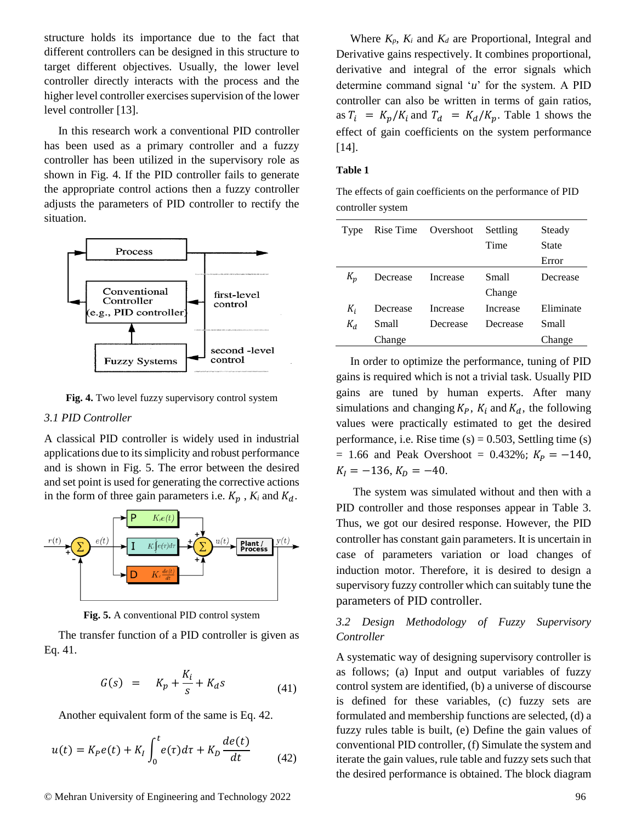structure holds its importance due to the fact that different controllers can be designed in this structure to target different objectives. Usually, the lower level controller directly interacts with the process and the higher level controller exercises supervision of the lower level controller [13].

In this research work a conventional PID controller has been used as a primary controller and a fuzzy controller has been utilized in the supervisory role as shown in Fig. 4. If the PID controller fails to generate the appropriate control actions then a fuzzy controller adjusts the parameters of PID controller to rectify the situation.





#### *3.1 PID Controller*

A classical PID controller is widely used in industrial applications due to its simplicity and robust performance and is shown in Fig. 5. The error between the desired and set point is used for generating the corrective actions in the form of three gain parameters i.e.  $K_p$ ,  $K_i$  and  $K_d$ .



**Fig. 5.** A conventional PID control system

The transfer function of a PID controller is given as Eq. 41.

$$
G(s) = K_p + \frac{K_i}{s} + K_d s \tag{41}
$$

Another equivalent form of the same is Eq. 42.

$$
u(t) = K_P e(t) + K_I \int_0^t e(\tau) d\tau + K_D \frac{de(t)}{dt}
$$
 (42)

Where  $K_p$ ,  $K_i$  and  $K_d$  are Proportional, Integral and Derivative gains respectively. It combines proportional, derivative and integral of the error signals which determine command signal '*u*' for the system. A PID controller can also be written in terms of gain ratios, as  $T_i = K_p/K_i$  and  $T_d = K_d/K_p$ . Table 1 shows the effect of gain coefficients on the system performance [14].

#### **Table 1**

|                   | The effects of gain coefficients on the performance of PID |
|-------------------|------------------------------------------------------------|
| controller system |                                                            |

| Type  |          | Rise Time Overshoot | Settling | Steady       |
|-------|----------|---------------------|----------|--------------|
|       |          |                     | Time     | <b>State</b> |
|       |          |                     |          | Error        |
| $K_n$ | Decrease | Increase            | Small    | Decrease     |
|       |          |                     | Change   |              |
| $K_i$ | Decrease | Increase            | Increase | Eliminate    |
| $K_d$ | Small    | Decrease            | Decrease | <b>Small</b> |
|       | Change   |                     |          | Change       |

In order to optimize the performance, tuning of PID gains is required which is not a trivial task. Usually PID gains are tuned by human experts. After many simulations and changing  $K_p$ ,  $K_i$  and  $K_d$ , the following values were practically estimated to get the desired performance, i.e. Rise time  $(s) = 0.503$ , Settling time  $(s)$  $= 1.66$  and Peak Overshoot  $= 0.432\%$ ;  $K_p = -140$ ,  $K_I = -136, K_D = -40.$ 

The system was simulated without and then with a PID controller and those responses appear in Table 3. Thus, we got our desired response. However, the PID controller has constant gain parameters. It is uncertain in case of parameters variation or load changes of induction motor. Therefore, it is desired to design a supervisory fuzzy controller which can suitably tune the parameters of PID controller.

### *3.2 Design Methodology of Fuzzy Supervisory Controller*

A systematic way of designing supervisory controller is as follows; (a) Input and output variables of fuzzy control system are identified, (b) a universe of discourse is defined for these variables, (c) fuzzy sets are formulated and membership functions are selected, (d) a fuzzy rules table is built, (e) Define the gain values of conventional PID controller, (f) Simulate the system and iterate the gain values, rule table and fuzzy sets such that the desired performance is obtained. The block diagram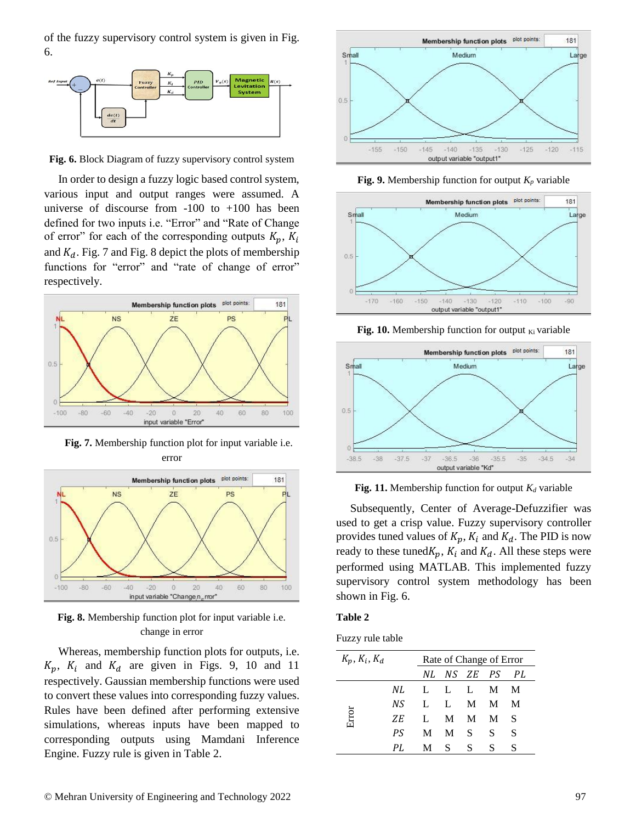of the fuzzy supervisory control system is given in Fig. 6.



**Fig. 6.** Block Diagram of fuzzy supervisory control system

In order to design a fuzzy logic based control system, various input and output ranges were assumed. A universe of discourse from -100 to +100 has been defined for two inputs i.e. "Error" and "Rate of Change of error" for each of the corresponding outputs  $K_p$ ,  $K_i$ and  $K_d$ . Fig. 7 and Fig. 8 depict the plots of membership functions for "error" and "rate of change of error" respectively.



**Fig. 7.** Membership function plot for input variable i.e. error



**Fig. 8.** Membership function plot for input variable i.e. change in error

Whereas, membership function plots for outputs, i.e.  $K_p$ ,  $K_i$  and  $K_d$  are given in Figs. 9, 10 and 11 respectively. Gaussian membership functions were used to convert these values into corresponding fuzzy values. Rules have been defined after performing extensive simulations, whereas inputs have been mapped to corresponding outputs using Mamdani Inference Engine. Fuzzy rule is given in Table 2.



**Fig. 9.** Membership function for output  $K_p$  variable



**Fig. 10.** Membership function for output  $K_i$  variable



**Fig. 11.** Membership function for output  $K_d$  variable

Subsequently, Center of Average-Defuzzifier was used to get a crisp value. Fuzzy supervisory controller provides tuned values of  $K_p$ ,  $K_i$  and  $K_d$ . The PID is now ready to these tuned $K_p$ ,  $K_i$  and  $K_d$ . All these steps were performed using MATLAB. This implemented fuzzy supervisory control system methodology has been shown in Fig. 6.

#### **Table 2**

| Fuzzy rule table |  |  |
|------------------|--|--|
|                  |  |  |

| $K_p, K_i, K_d$ |     |      | Rate of Change of Error |   |   |    |
|-----------------|-----|------|-------------------------|---|---|----|
|                 |     |      | NL NS ZE PS PL          |   |   |    |
| Error           | NL. | LLLM |                         |   |   | M  |
|                 | N.S |      | L L M M                 |   |   | M  |
|                 | ZE. |      | L M M M                 |   |   | -S |
|                 | P.S |      | M M S                   |   | S | S  |
|                 | PI. |      | M S                     | S | S | S  |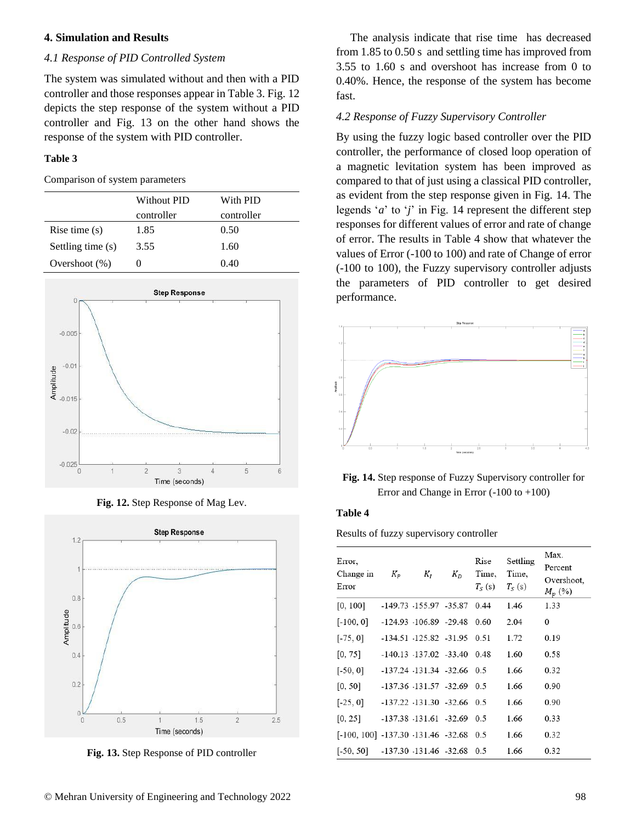### **4. Simulation and Results**

#### *4.1 Response of PID Controlled System*

The system was simulated without and then with a PID controller and those responses appear in Table 3. Fig. 12 depicts the step response of the system without a PID controller and Fig. 13 on the other hand shows the response of the system with PID controller.

#### **Table 3**

Comparison of system parameters

|                   | Without PID | With PID   |
|-------------------|-------------|------------|
|                   | controller  | controller |
| Rise time $(s)$   | 1.85        | 0.50       |
| Settling time (s) | 3.55        | 1.60       |
| Overshoot $(\%)$  |             | 0.40       |



**Fig. 12.** Step Response of Mag Lev.



**Fig. 13.** Step Response of PID controller

The analysis indicate that rise time has decreased from 1.85 to 0.50 s and settling time has improved from 3.55 to 1.60 s and overshoot has increase from 0 to 0.40%. Hence, the response of the system has become fast.

#### *4.2 Response of Fuzzy Supervisory Controller*

By using the fuzzy logic based controller over the PID controller, the performance of closed loop operation of a magnetic levitation system has been improved as compared to that of just using a classical PID controller, as evident from the step response given in Fig. 14. The legends '*a*' to '*j*' in Fig. 14 represent the different step responses for different values of error and rate of change of error. The results in Table 4 show that whatever the values of Error (-100 to 100) and rate of Change of error (-100 to 100), the Fuzzy supervisory controller adjusts the parameters of PID controller to get desired performance.



**Fig. 14.** Step response of Fuzzy Supervisory controller for Error and Change in Error (-100 to +100)

#### **Table 4**

Results of fuzzy supervisory controller

| Error.<br>Change in<br>Error                   | $K_P$ | $K_I$                             | $K_D$ | Rise<br>Time,<br>$T_{\rm S}$ (s) | Settling<br>Time,<br>$T_{S}$ (s) | Max.<br>Percent<br>Overshoot,<br>$M_p(\%)$ |
|------------------------------------------------|-------|-----------------------------------|-------|----------------------------------|----------------------------------|--------------------------------------------|
| [0, 100]                                       |       | -149.73 -155.97 -35.87 0.44       |       |                                  | 1.46                             | 1.33                                       |
| $[-100, 0]$                                    |       | $-124.93$ $-106.89$ $-29.48$      |       | 0.60                             | 2.04                             | $\bf{0}$                                   |
| $[-75, 0]$                                     |       | -134.51 -125.82 -31.95            |       | 0.51                             | 1.72                             | 0.19                                       |
| [0, 75]                                        |       | $-140.13$ $-137.02$ $-33.40$ 0.48 |       |                                  | 1.60                             | 0.58                                       |
| $[-50, 0]$                                     |       | $-137.24$ $-131.34$ $-32.66$ 0.5  |       |                                  | 1.66                             | 0.32                                       |
| [0, 50]                                        |       | -137.36 -131.57 -32.69            |       | 0.5                              | 1.66                             | 0.90                                       |
| $[-25, 0]$                                     |       | $-137.22$ $-131.30$ $-32.66$      |       | 0.5                              | 1.66                             | 0.90                                       |
| [0, 25]                                        |       | $-137.38$ $-131.61$ $-32.69$ 0.5  |       |                                  | 1.66                             | 0.33                                       |
| $[-100, 100]$ $-137.30$ $-131.46$ $-32.68$ 0.5 |       |                                   |       |                                  | 1.66                             | 0.32                                       |
| $[-50, 50]$                                    |       | $-137.30$ $131.46$ $-32.68$       |       | 0.5                              | 1.66                             | 0.32                                       |